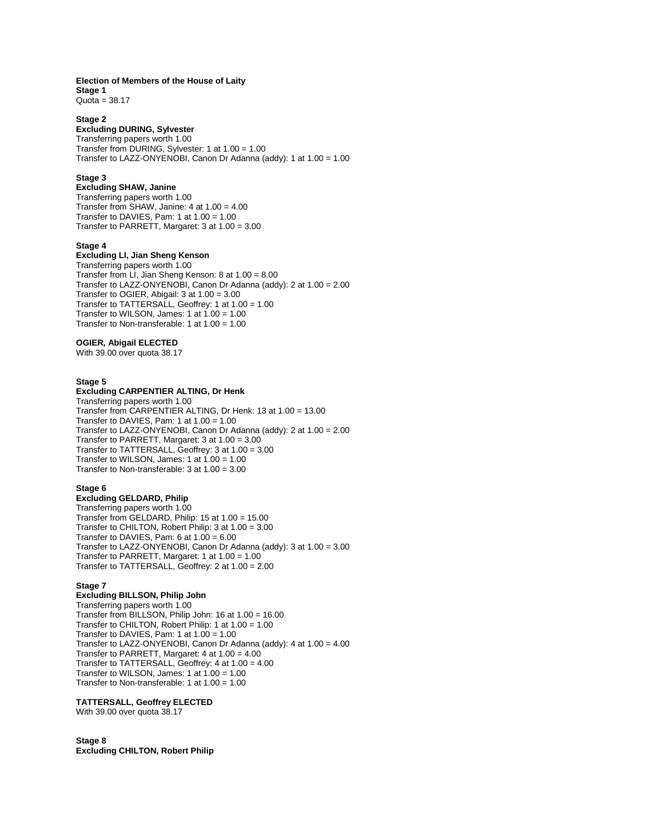#### **Election of Members of the House of Laity Stage 1**

 $Quota = 38.17$ 

### **Stage 2**

# **Excluding DURING, Sylvester**

Transferring papers worth 1.00 Transfer from DURING, Sylvester: 1 at 1.00 = 1.00 Transfer to LAZZ-ONYENOBI, Canon Dr Adanna (addy): 1 at 1.00 = 1.00

### **Stage 3**

**Excluding SHAW, Janine** Transferring papers worth 1.00 Transfer from SHAW, Janine: 4 at 1.00 = 4.00 Transfer to DAVIES, Pam: 1 at 1.00 = 1.00 Transfer to PARRETT, Margaret: 3 at 1.00 = 3.00

### **Stage 4**

# **Excluding LI, Jian Sheng Kenson**

Transferring papers worth 1.00 Transfer from LI, Jian Sheng Kenson: 8 at 1.00 = 8.00 Transfer to LAZZ-ONYENOBI, Canon Dr Adanna (addy): 2 at 1.00 = 2.00 Transfer to OGIER, Abigail: 3 at 1.00 = 3.00 Transfer to TATTERSALL, Geoffrey: 1 at 1.00 = 1.00 Transfer to WILSON, James:  $1$  at  $1.00 = 1.00$ Transfer to Non-transferable: 1 at 1.00 = 1.00

# **OGIER, Abigail ELECTED**

With 39.00 over quota 38.17

# **Stage 5**

## **Excluding CARPENTIER ALTING, Dr Henk**

Transferring papers worth 1.00 Transfer from CARPENTIER ALTING, Dr Henk: 13 at 1.00 = 13.00 Transfer to DAVIES, Pam: 1 at 1.00 = 1.00 Transfer to LAZZ-ONYENOBI, Canon Dr Adanna (addy): 2 at 1.00 = 2.00 Transfer to PARRETT, Margaret: 3 at 1.00 = 3.00 Transfer to TATTERSALL, Geoffrey: 3 at 1.00 = 3.00 Transfer to WILSON, James: 1 at 1.00 = 1.00 Transfer to Non-transferable: 3 at 1.00 = 3.00

#### **Stage 6**

### **Excluding GELDARD, Philip**

Transferring papers worth 1.00 Transfer from GELDARD, Philip: 15 at 1.00 = 15.00 Transfer to CHILTON, Robert Philip: 3 at 1.00 = 3.00 Transfer to DAVIES, Pam:  $6$  at  $1.00 = 6.00$ Transfer to LAZZ-ONYENOBI, Canon Dr Adanna (addy): 3 at 1.00 = 3.00 Transfer to PARRETT, Margaret: 1 at 1.00 = 1.00 Transfer to TATTERSALL, Geoffrey: 2 at 1.00 = 2.00

### **Stage 7**

# **Excluding BILLSON, Philip John**

Transferring papers worth 1.00 Transfer from BILLSON, Philip John: 16 at 1.00 = 16.00 Transfer to CHILTON, Robert Philip: 1 at 1.00 = 1.00 Transfer to DAVIES, Pam: 1 at 1.00 = 1.00 Transfer to LAZZ-ONYENOBI, Canon Dr Adanna (addy): 4 at 1.00 = 4.00 Transfer to PARRETT, Margaret: 4 at 1.00 = 4.00 Transfer to TATTERSALL, Geoffrey: 4 at 1.00 = 4.00 Transfer to WILSON, James: 1 at 1.00 = 1.00 Transfer to Non-transferable: 1 at 1.00 = 1.00

# **TATTERSALL, Geoffrey ELECTED**

With 39.00 over quota 38.17

### **Stage 8 Excluding CHILTON, Robert Philip**